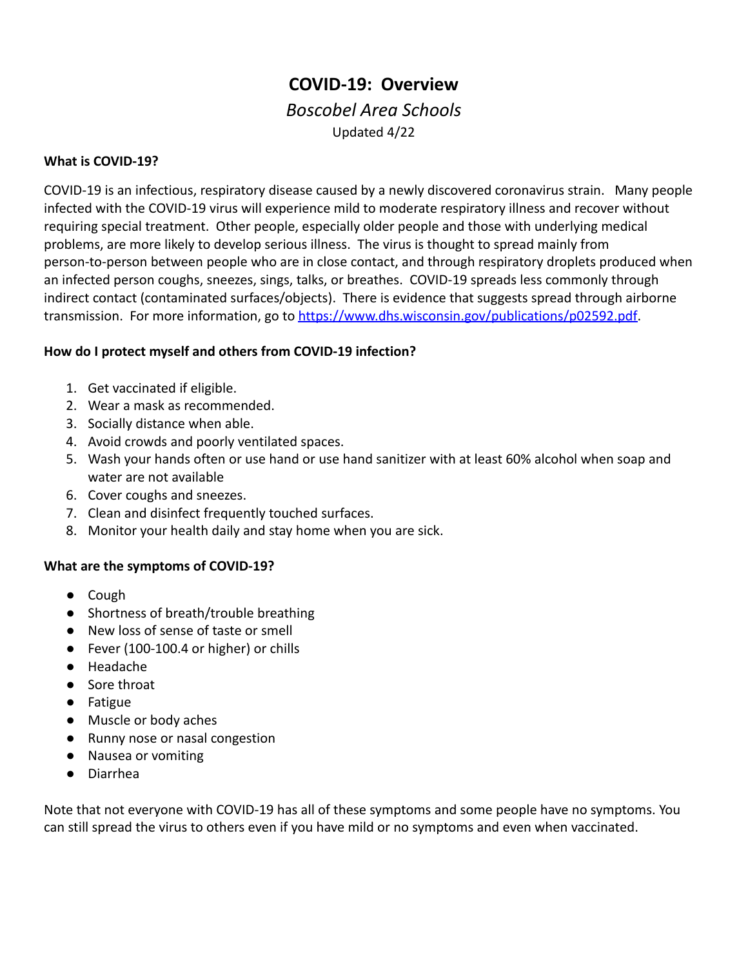# **COVID-19: Overview** *Boscobel Area Schools*

## Updated 4/22

## **What is COVID-19?**

COVID-19 is an infectious, respiratory disease caused by a newly discovered coronavirus strain. Many people infected with the COVID-19 virus will experience mild to moderate respiratory illness and recover without requiring special treatment. Other people, especially older people and those with underlying medical problems, are more likely to develop serious illness. The virus is thought to spread mainly from person-to-person between people who are in close contact, and through respiratory droplets produced when an infected person coughs, sneezes, sings, talks, or breathes. COVID-19 spreads less commonly through indirect contact (contaminated surfaces/objects). There is evidence that suggests spread through airborne transmission. For more information, go to [https://www.dhs.wisconsin.gov/publications/p02592.pdf.](https://www.dhs.wisconsin.gov/publications/p02592.pdf)

#### **How do I protect myself and others from COVID-19 infection?**

- 1. Get vaccinated if eligible.
- 2. Wear a mask as recommended.
- 3. Socially distance when able.
- 4. Avoid crowds and poorly ventilated spaces.
- 5. Wash your hands often or use hand or use hand sanitizer with at least 60% alcohol when soap and water are not available
- 6. Cover coughs and sneezes.
- 7. Clean and disinfect frequently touched surfaces.
- 8. Monitor your health daily and stay home when you are sick.

#### **What are the symptoms of COVID-19?**

- Cough
- Shortness of breath/trouble breathing
- New loss of sense of taste or smell
- Fever (100-100.4 or higher) or chills
- Headache
- Sore throat
- Fatigue
- Muscle or body aches
- Runny nose or nasal congestion
- Nausea or vomiting
- Diarrhea

Note that not everyone with COVID-19 has all of these symptoms and some people have no symptoms. You can still spread the virus to others even if you have mild or no symptoms and even when vaccinated.